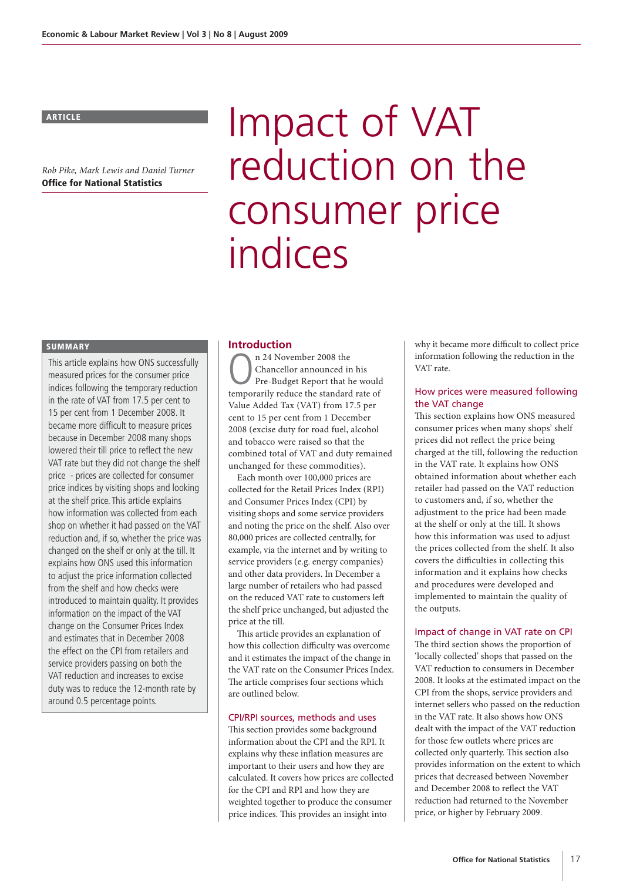**ARTICLE**

*Rob Pike, Mark Lewis and Daniel Turner* **Office for National Statistics** 

# Impact of VAT reduction on the consumer price indices

#### **SUMMARY**

This article explains how ONS successfully measured prices for the consumer price indices following the temporary reduction in the rate of VAT from 17.5 per cent to 15 per cent from 1 December 2008. It became more difficult to measure prices because in December 2008 many shops lowered their till price to reflect the new VAT rate but they did not change the shelf price - prices are collected for consumer price indices by visiting shops and looking at the shelf price. This article explains how information was collected from each shop on whether it had passed on the VAT reduction and, if so, whether the price was changed on the shelf or only at the till. It explains how ONS used this information to adjust the price information collected from the shelf and how checks were introduced to maintain quality. It provides information on the impact of the VAT change on the Consumer Prices Index and estimates that in December 2008 the effect on the CPI from retailers and service providers passing on both the VAT reduction and increases to excise duty was to reduce the 12-month rate by around 0.5 percentage points.

#### **Introduction**

n 24 November 2008 the<br>Chancellor announced in his<br>Pre-Budget Report that he would<br>temporarily reduce the standard rate of Chancellor announced in his temporarily reduce the standard rate of Value Added Tax (VAT) from 17.5 per cent to 15 per cent from 1 December 2008 (excise duty for road fuel, alcohol and tobacco were raised so that the combined total of VAT and duty remained unchanged for these commodities).

Each month over 100,000 prices are collected for the Retail Prices Index (RPI) and Consumer Prices Index (CPI) by visiting shops and some service providers and noting the price on the shelf. Also over 80,000 prices are collected centrally, for example, via the internet and by writing to service providers (e.g. energy companies) and other data providers. In December a large number of retailers who had passed on the reduced VAT rate to customers left the shelf price unchanged, but adjusted the price at the till.

This article provides an explanation of how this collection difficulty was overcome and it estimates the impact of the change in the VAT rate on the Consumer Prices Index. The article comprises four sections which are outlined below.

#### CPI/RPI sources, methods and uses

This section provides some background information about the CPI and the RPI. It explains why these inflation measures are important to their users and how they are calculated. It covers how prices are collected for the CPI and RPI and how they are weighted together to produce the consumer price indices. This provides an insight into

why it became more difficult to collect price information following the reduction in the VAT rate.

#### How prices were measured following the VAT change

This section explains how ONS measured consumer prices when many shops' shelf prices did not reflect the price being charged at the till, following the reduction in the VAT rate. It explains how ONS obtained information about whether each retailer had passed on the VAT reduction to customers and, if so, whether the adjustment to the price had been made at the shelf or only at the till. It shows how this information was used to adjust the prices collected from the shelf. It also covers the difficulties in collecting this information and it explains how checks and procedures were developed and implemented to maintain the quality of the outputs.

#### Impact of change in VAT rate on CPI

The third section shows the proportion of 'locally collected' shops that passed on the VAT reduction to consumers in December 2008. It looks at the estimated impact on the CPI from the shops, service providers and internet sellers who passed on the reduction in the VAT rate. It also shows how ONS dealt with the impact of the VAT reduction for those few outlets where prices are collected only quarterly. This section also provides information on the extent to which prices that decreased between November and December 2008 to reflect the VAT reduction had returned to the November price, or higher by February 2009.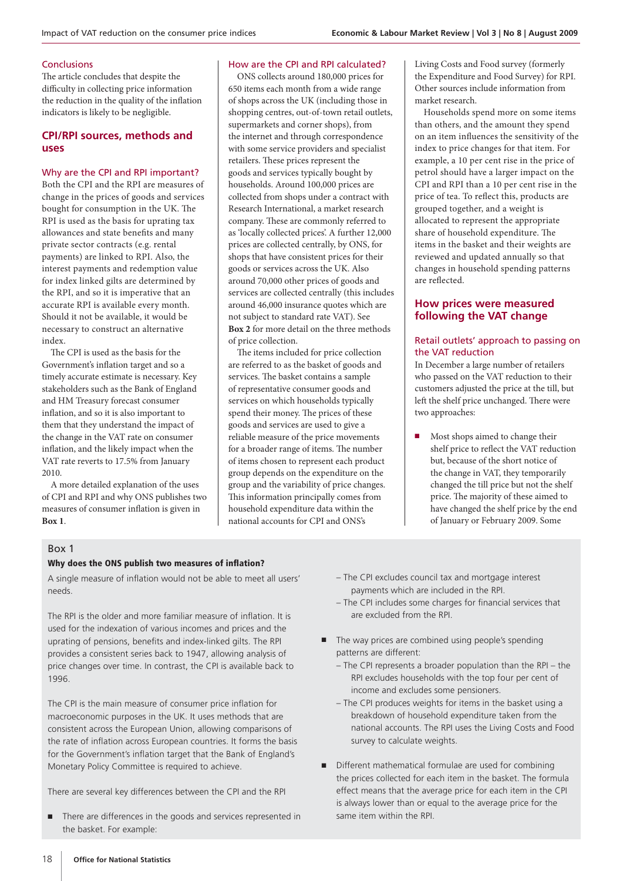#### **Conclusions**

The article concludes that despite the difficulty in collecting price information the reduction in the quality of the inflation indicators is likely to be negligible.

#### **CPI/RPI sources, methods and uses**

#### Why are the CPI and RPI important?

Both the CPI and the RPI are measures of change in the prices of goods and services bought for consumption in the UK. The RPI is used as the basis for uprating tax allowances and state benefits and many private sector contracts (e.g. rental payments) are linked to RPI. Also, the interest payments and redemption value for index linked gilts are determined by the RPI, and so it is imperative that an accurate RPI is available every month. Should it not be available, it would be necessary to construct an alternative index.

The CPI is used as the basis for the Government's inflation target and so a timely accurate estimate is necessary. Key stakeholders such as the Bank of England and HM Treasury forecast consumer inflation, and so it is also important to them that they understand the impact of the change in the VAT rate on consumer inflation, and the likely impact when the VAT rate reverts to 17.5% from January 2010.

A more detailed explanation of the uses of CPI and RPI and why ONS publishes two measures of consumer inflation is given in **Box 1**.

#### How are the CPI and RPI calculated?

ONS collects around 180,000 prices for 650 items each month from a wide range of shops across the UK (including those in shopping centres, out-of-town retail outlets, supermarkets and corner shops), from the internet and through correspondence with some service providers and specialist retailers. These prices represent the goods and services typically bought by households. Around 100,000 prices are collected from shops under a contract with Research International, a market research company. These are commonly referred to as 'locally collected prices'. A further 12,000 prices are collected centrally, by ONS, for shops that have consistent prices for their goods or services across the UK. Also around 70,000 other prices of goods and services are collected centrally (this includes around 46,000 insurance quotes which are not subject to standard rate VAT). See **Box 2** for more detail on the three methods of price collection.

The items included for price collection are referred to as the basket of goods and services. The basket contains a sample of representative consumer goods and services on which households typically spend their money. The prices of these goods and services are used to give a reliable measure of the price movements for a broader range of items. The number of items chosen to represent each product group depends on the expenditure on the group and the variability of price changes. This information principally comes from household expenditure data within the national accounts for CPI and ONS's

Living Costs and Food survey (formerly the Expenditure and Food Survey) for RPI. Other sources include information from market research.

Households spend more on some items than others, and the amount they spend on an item influences the sensitivity of the index to price changes for that item. For example, a 10 per cent rise in the price of petrol should have a larger impact on the CPI and RPI than a 10 per cent rise in the price of tea. To reflect this, products are grouped together, and a weight is allocated to represent the appropriate share of household expenditure. The items in the basket and their weights are reviewed and updated annually so that changes in household spending patterns are reflected.

#### **How prices were measured following the VAT change**

#### Retail outlets' approach to passing on the VAT reduction

In December a large number of retailers who passed on the VAT reduction to their customers adjusted the price at the till, but left the shelf price unchanged. There were two approaches:

Most shops aimed to change their shelf price to reflect the VAT reduction but, because of the short notice of the change in VAT, they temporarily changed the till price but not the shelf price. The majority of these aimed to have changed the shelf price by the end of January or February 2009. Some

#### Box 1

## **Why does the ONS publish two measures of inflation?**

A single measure of inflation would not be able to meet all users' needs.

The RPI is the older and more familiar measure of inflation. It is used for the indexation of various incomes and prices and the uprating of pensions, benefits and index-linked gilts. The RPI provides a consistent series back to 1947, allowing analysis of price changes over time. In contrast, the CPI is available back to 1996.

The CPI is the main measure of consumer price inflation for macroeconomic purposes in the UK. It uses methods that are consistent across the European Union, allowing comparisons of the rate of inflation across European countries. It forms the basis for the Government's inflation target that the Bank of England's Monetary Policy Committee is required to achieve.

There are several key differences between the CPI and the RPI

■ There are differences in the goods and services represented in the basket. For example:

- The CPI excludes council tax and mortgage interest payments which are included in the RPI.
- The CPI includes some charges for financial services that are excluded from the RPI.
- The way prices are combined using people's spending patterns are different:
	- The CPI represents a broader population than the RPI the RPI excludes households with the top four per cent of income and excludes some pensioners.
	- The CPI produces weights for items in the basket using a breakdown of household expenditure taken from the national accounts. The RPI uses the Living Costs and Food survey to calculate weights.
- Different mathematical formulae are used for combining the prices collected for each item in the basket. The formula effect means that the average price for each item in the CPI is always lower than or equal to the average price for the same item within the RPI.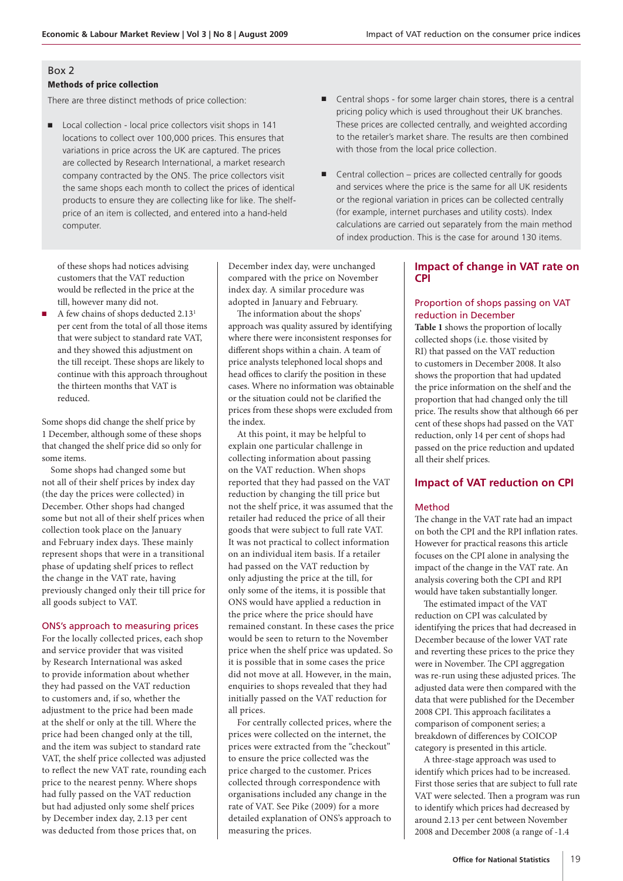#### Box 2

#### **Methods of price collection**

There are three distinct methods of price collection:

- Local collection local price collectors visit shops in 141 locations to collect over 100,000 prices. This ensures that variations in price across the UK are captured. The prices are collected by Research International, a market research company contracted by the ONS. The price collectors visit the same shops each month to collect the prices of identical products to ensure they are collecting like for like. The shelfprice of an item is collected, and entered into a hand-held computer.
- Central shops for some larger chain stores, there is a central pricing policy which is used throughout their UK branches. These prices are collected centrally, and weighted according to the retailer's market share. The results are then combined with those from the local price collection.
- Central collection prices are collected centrally for goods and services where the price is the same for all UK residents or the regional variation in prices can be collected centrally (for example, internet purchases and utility costs). Index calculations are carried out separately from the main method of index production. This is the case for around 130 items.

of these shops had notices advising customers that the VAT reduction would be reflected in the price at the till, however many did not.

A few chains of shops deducted  $2.13<sup>1</sup>$ per cent from the total of all those items that were subject to standard rate VAT, and they showed this adjustment on the till receipt. These shops are likely to continue with this approach throughout the thirteen months that VAT is reduced.

Some shops did change the shelf price by 1 December, although some of these shops that changed the shelf price did so only for some items.

Some shops had changed some but not all of their shelf prices by index day (the day the prices were collected) in December. Other shops had changed some but not all of their shelf prices when collection took place on the January and February index days. These mainly represent shops that were in a transitional phase of updating shelf prices to reflect the change in the VAT rate, having previously changed only their till price for all goods subject to VAT.

#### ONS's approach to measuring prices

For the locally collected prices, each shop and service provider that was visited by Research International was asked to provide information about whether they had passed on the VAT reduction to customers and, if so, whether the adjustment to the price had been made at the shelf or only at the till. Where the price had been changed only at the till, and the item was subject to standard rate VAT, the shelf price collected was adjusted to reflect the new VAT rate, rounding each price to the nearest penny. Where shops had fully passed on the VAT reduction but had adjusted only some shelf prices by December index day, 2.13 per cent was deducted from those prices that, on

December index day, were unchanged compared with the price on November index day. A similar procedure was adopted in January and February.

The information about the shops' approach was quality assured by identifying where there were inconsistent responses for different shops within a chain. A team of price analysts telephoned local shops and head offices to clarify the position in these cases. Where no information was obtainable or the situation could not be clarified the prices from these shops were excluded from the index.

At this point, it may be helpful to explain one particular challenge in collecting information about passing on the VAT reduction. When shops reported that they had passed on the VAT reduction by changing the till price but not the shelf price, it was assumed that the retailer had reduced the price of all their goods that were subject to full rate VAT. It was not practical to collect information on an individual item basis. If a retailer had passed on the VAT reduction by only adjusting the price at the till, for only some of the items, it is possible that ONS would have applied a reduction in the price where the price should have remained constant. In these cases the price would be seen to return to the November price when the shelf price was updated. So it is possible that in some cases the price did not move at all. However, in the main, enquiries to shops revealed that they had initially passed on the VAT reduction for all prices.

For centrally collected prices, where the prices were collected on the internet, the prices were extracted from the "checkout" to ensure the price collected was the price charged to the customer. Prices collected through correspondence with organisations included any change in the rate of VAT. See Pike (2009) for a more detailed explanation of ONS's approach to measuring the prices.

#### **Impact of change in VAT rate on CPI**

#### Proportion of shops passing on VAT reduction in December

**Table 1** shows the proportion of locally collected shops (i.e. those visited by RI) that passed on the VAT reduction to customers in December 2008. It also shows the proportion that had updated the price information on the shelf and the proportion that had changed only the till price. The results show that although 66 per cent of these shops had passed on the VAT reduction, only 14 per cent of shops had passed on the price reduction and updated all their shelf prices.

#### **Impact of VAT reduction on CPI**

#### Method

The change in the VAT rate had an impact on both the CPI and the RPI inflation rates. However for practical reasons this article focuses on the CPI alone in analysing the impact of the change in the VAT rate. An analysis covering both the CPI and RPI would have taken substantially longer.

The estimated impact of the VAT reduction on CPI was calculated by identifying the prices that had decreased in December because of the lower VAT rate and reverting these prices to the price they were in November. The CPI aggregation was re-run using these adjusted prices. The adjusted data were then compared with the data that were published for the December 2008 CPI. This approach facilitates a comparison of component series; a breakdown of differences by COICOP category is presented in this article.

A three-stage approach was used to identify which prices had to be increased. First those series that are subject to full rate VAT were selected. Then a program was run to identify which prices had decreased by around 2.13 per cent between November 2008 and December 2008 (a range of -1.4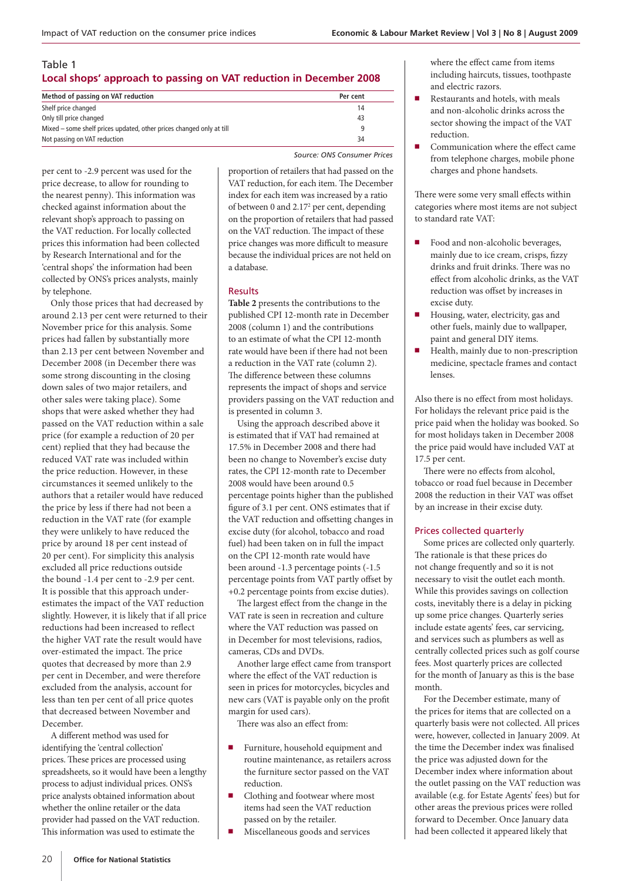### Table 1 **Local shops' approach to passing on VAT reduction in December 2008**

| Method of passing on VAT reduction                                   | Per cent |
|----------------------------------------------------------------------|----------|
| Shelf price changed                                                  | 14       |
| Only till price changed                                              | 43       |
| Mixed – some shelf prices updated, other prices changed only at till |          |
| Not passing on VAT reduction                                         | 34       |

per cent to -2.9 percent was used for the price decrease, to allow for rounding to the nearest penny). This information was checked against information about the relevant shop's approach to passing on the VAT reduction. For locally collected prices this information had been collected by Research International and for the 'central shops' the information had been collected by ONS's prices analysts, mainly by telephone.

Only those prices that had decreased by around 2.13 per cent were returned to their November price for this analysis. Some prices had fallen by substantially more than 2.13 per cent between November and December 2008 (in December there was some strong discounting in the closing down sales of two major retailers, and other sales were taking place). Some shops that were asked whether they had passed on the VAT reduction within a sale price (for example a reduction of 20 per cent) replied that they had because the reduced VAT rate was included within the price reduction. However, in these circumstances it seemed unlikely to the authors that a retailer would have reduced the price by less if there had not been a reduction in the VAT rate (for example they were unlikely to have reduced the price by around 18 per cent instead of 20 per cent). For simplicity this analysis excluded all price reductions outside the bound -1.4 per cent to -2.9 per cent. It is possible that this approach underestimates the impact of the VAT reduction slightly. However, it is likely that if all price reductions had been increased to reflect the higher VAT rate the result would have over-estimated the impact. The price quotes that decreased by more than 2.9 per cent in December, and were therefore excluded from the analysis, account for less than ten per cent of all price quotes that decreased between November and December.

A different method was used for identifying the 'central collection' prices. These prices are processed using spreadsheets, so it would have been a lengthy process to adjust individual prices. ONS's price analysts obtained information about whether the online retailer or the data provider had passed on the VAT reduction. This information was used to estimate the

*Source: ONS Consumer Prices*

proportion of retailers that had passed on the VAT reduction, for each item. The December index for each item was increased by a ratio of between 0 and 2.172 per cent, depending on the proportion of retailers that had passed on the VAT reduction. The impact of these price changes was more difficult to measure because the individual prices are not held on a database.

Results

**Table 2** presents the contributions to the published CPI 12-month rate in December 2008 (column 1) and the contributions to an estimate of what the CPI 12-month rate would have been if there had not been a reduction in the VAT rate (column 2). The difference between these columns represents the impact of shops and service providers passing on the VAT reduction and is presented in column 3.

Using the approach described above it is estimated that if VAT had remained at 17.5% in December 2008 and there had been no change to November's excise duty rates, the CPI 12-month rate to December 2008 would have been around 0.5 percentage points higher than the published figure of 3.1 per cent. ONS estimates that if the VAT reduction and offsetting changes in excise duty (for alcohol, tobacco and road fuel) had been taken on in full the impact on the CPI 12-month rate would have been around -1.3 percentage points (-1.5 percentage points from VAT partly offset by +0.2 percentage points from excise duties).

The largest effect from the change in the VAT rate is seen in recreation and culture where the VAT reduction was passed on in December for most televisions, radios, cameras, CDs and DVDs.

Another large effect came from transport where the effect of the VAT reduction is seen in prices for motorcycles, bicycles and new cars (VAT is payable only on the profit margin for used cars).

There was also an effect from:

- Furniture, household equipment and routine maintenance, as retailers across the furniture sector passed on the VAT reduction.
- Clothing and footwear where most items had seen the VAT reduction passed on by the retailer.
- Miscellaneous goods and services

where the effect came from items including haircuts, tissues, toothpaste and electric razors.

- Restaurants and hotels, with meals and non-alcoholic drinks across the sector showing the impact of the VAT reduction.
- Communication where the effect came from telephone charges, mobile phone charges and phone handsets.

There were some very small effects within categories where most items are not subject to standard rate VAT:

- Food and non-alcoholic beverages, mainly due to ice cream, crisps, fizzy drinks and fruit drinks. There was no effect from alcoholic drinks, as the VAT reduction was offset by increases in excise duty.
- Housing, water, electricity, gas and other fuels, mainly due to wallpaper, paint and general DIY items.
- Health, mainly due to non-prescription medicine, spectacle frames and contact lenses.

Also there is no effect from most holidays. For holidays the relevant price paid is the price paid when the holiday was booked. So for most holidays taken in December 2008 the price paid would have included VAT at 17.5 per cent.

There were no effects from alcohol. tobacco or road fuel because in December 2008 the reduction in their VAT was offset by an increase in their excise duty.

#### Prices collected quarterly

Some prices are collected only quarterly. The rationale is that these prices do not change frequently and so it is not necessary to visit the outlet each month. While this provides savings on collection costs, inevitably there is a delay in picking up some price changes. Quarterly series include estate agents' fees, car servicing, and services such as plumbers as well as centrally collected prices such as golf course fees. Most quarterly prices are collected for the month of January as this is the base month.

For the December estimate, many of the prices for items that are collected on a quarterly basis were not collected. All prices were, however, collected in January 2009. At the time the December index was finalised the price was adjusted down for the December index where information about the outlet passing on the VAT reduction was available (e.g. for Estate Agents' fees) but for other areas the previous prices were rolled forward to December. Once January data had been collected it appeared likely that